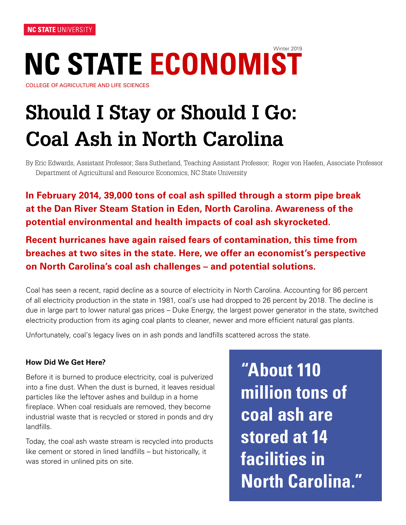# **NC STATE ECONOMIST** Winter 2019

COLLEGE OF AGRICULTURE AND LIFE SCIENCES

# **Should I Stay or Should I Go: Coal Ash in North Carolina**

By Eric Edwards, Assistant Professor; Sara Sutherland, Teaching Assistant Professor; Roger von Haefen, Associate Professor Department of Agricultural and Resource Economics, NC State University

**In February 2014, 39,000 tons of coal ash spilled through a storm pipe break at the Dan River Steam Station in Eden, North Carolina. Awareness of the potential environmental and health impacts of coal ash skyrocketed.**

**Recent hurricanes have again raised fears of contamination, this time from breaches at two sites in the state. Here, we offer an economist's perspective on North Carolina's coal ash challenges – and potential solutions.**

Coal has seen a recent, rapid decline as a source of electricity in North Carolina. Accounting for 86 percent of all electricity production in the state in 1981, coal's use had dropped to 26 percent by 2018. The decline is due in large part to lower natural gas prices – Duke Energy, the largest power generator in the state, switched electricity production from its aging coal plants to cleaner, newer and more efficient natural gas plants.

Unfortunately, coal's legacy lives on in ash ponds and landfills scattered across the state.

#### **How Did We Get Here?**

Before it is burned to produce electricity, coal is pulverized into a fine dust. When the dust is burned, it leaves residual particles like the leftover ashes and buildup in a home fireplace. When coal residuals are removed, they become industrial waste that is recycled or stored in ponds and dry landfills.

Today, the coal ash waste stream is recycled into products like cement or stored in lined landfills – but historically, it was stored in unlined pits on site.

**"About 110 million tons of coal ash are stored at 14 facilities in North Carolina."**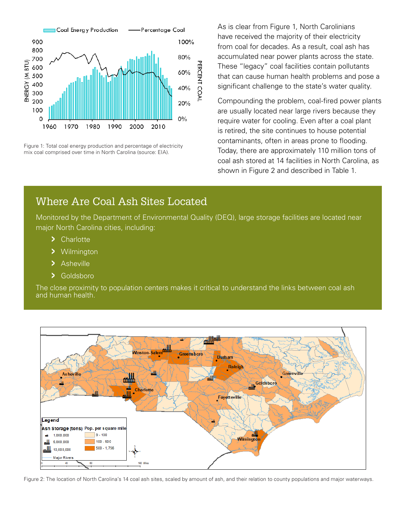

Figure 1: Total coal energy production and percentage of electricity mix coal comprised over time in North Carolina (source: EIA).

As is clear from Figure 1, North Carolinians have received the majority of their electricity from coal for decades. As a result, coal ash has accumulated near power plants across the state. These "legacy" coal facilities contain pollutants that can cause human health problems and pose a significant challenge to the state's water quality.

Compounding the problem, coal-fired power plants are usually located near large rivers because they require water for cooling. Even after a coal plant is retired, the site continues to house potential contaminants, often in areas prone to flooding. Today, there are approximately 110 million tons of coal ash stored at 14 facilities in North Carolina, as shown in Figure 2 and described in Table 1.

#### Where Are Coal Ash Sites Located

Monitored by the Department of Environmental Quality (DEQ), large storage facilities are located near major North Carolina cities, including:

- **>** Charlotte
- **>** Wilmington
- **>** Asheville
- **>** Goldsboro

The close proximity to population centers makes it critical to understand the links between coal ash and human health.



Figure 2: The location of North Carolina's 14 coal ash sites, scaled by amount of ash, and their relation to county populations and major waterways.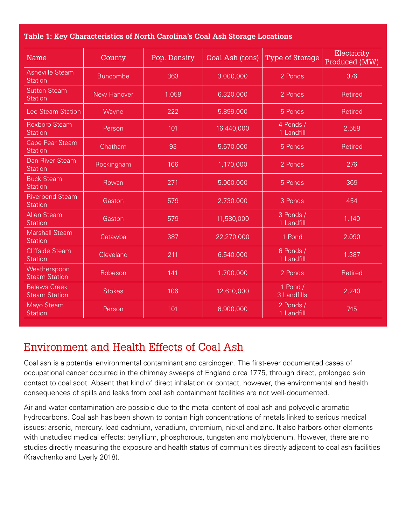|  | Table 1: Key Characteristics of North Carolina's Coal Ash Storage Locations |  |
|--|-----------------------------------------------------------------------------|--|
|  |                                                                             |  |

| <b>Name</b>                                 | County          | Pop. Density | Coal Ash (tons) | Type of Storage         | Electricity<br>Produced (MW) |
|---------------------------------------------|-----------------|--------------|-----------------|-------------------------|------------------------------|
| <b>Asheville Steam</b><br><b>Station</b>    | <b>Buncombe</b> | 363          | 3,000,000       | 2 Ponds                 | 376                          |
| <b>Sutton Steam</b><br><b>Station</b>       | New Hanover     | 1,058        | 6,320,000       | 2 Ponds                 | Retired                      |
| <b>Lee Steam Station</b>                    | Wayne           | 222          | 5,899,000       | 5 Ponds                 | Retired                      |
| <b>Roxboro Steam</b><br><b>Station</b>      | Person          | 101          | 16,440,000      | 4 Ponds /<br>1 Landfill | 2,558                        |
| Cape Fear Steam<br><b>Station</b>           | Chatham         | 93           | 5,670,000       | 5 Ponds                 | Retired                      |
| Dan River Steam<br><b>Station</b>           | Rockingham      | 166          | 1,170,000       | 2 Ponds                 | 276                          |
| <b>Buck Steam</b><br><b>Station</b>         | Rowan           | 271          | 5,060,000       | 5 Ponds                 | 369                          |
| <b>Riverbend Steam</b><br><b>Station</b>    | Gaston          | 579          | 2,730,000       | 3 Ponds                 | 454                          |
| <b>Allen Steam</b><br><b>Station</b>        | Gaston          | 579          | 11,580,000      | 3 Ponds /<br>1 Landfill | 1,140                        |
| <b>Marshall Steam</b><br><b>Station</b>     | Catawba         | 387          | 22,270,000      | 1 Pond                  | 2,090                        |
| <b>Cliffside Steam</b><br><b>Station</b>    | Cleveland       | 211          | 6,540,000       | 6 Ponds /<br>1 Landfill | 1,387                        |
| Weatherspoon<br><b>Steam Station</b>        | Robeson         | 141          | 1,700,000       | 2 Ponds                 | Retired                      |
| <b>Belews Creek</b><br><b>Steam Station</b> | <b>Stokes</b>   | 106          | 12,610,000      | 1 Pond /<br>3 Landfills | 2,240                        |
| Mayo Steam<br><b>Station</b>                | Person          | 101          | 6,900,000       | 2 Ponds /<br>1 Landfill | 745                          |

# Environment and Health Effects of Coal Ash

Coal ash is a potential environmental contaminant and carcinogen. The first-ever documented cases of occupational cancer occurred in the chimney sweeps of England circa 1775, through direct, prolonged skin contact to coal soot. Absent that kind of direct inhalation or contact, however, the environmental and health consequences of spills and leaks from coal ash containment facilities are not well-documented.

Air and water contamination are possible due to the metal content of coal ash and polycyclic aromatic hydrocarbons. Coal ash has been shown to contain high concentrations of metals linked to serious medical issues: arsenic, mercury, lead cadmium, vanadium, chromium, nickel and zinc. It also harbors other elements with unstudied medical effects: beryllium, phosphorous, tungsten and molybdenum. However, there are no studies directly measuring the exposure and health status of communities directly adjacent to coal ash facilities (Kravchenko and Lyerly 2018).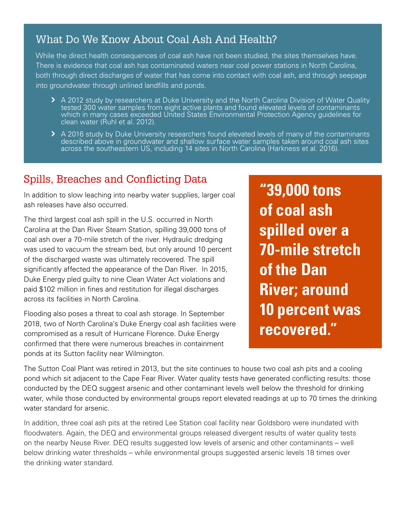#### What Do We Know About Coal Ash And Health?

While the direct health consequences of coal ash have not been studied, the sites themselves have. There is evidence that coal ash has contaminated waters near coal power stations in North Carolina, both through direct discharges of water that has come into contact with coal ash, and through seepage into groundwater through unlined landfills and ponds.

- **>** A 2012 study by researchers at Duke University and the North Carolina Division of Water Quality tested 300 water samples from eight active plants and found elevated levels of contaminants which in many cases exceeded United States Environmental Protection Agency guidelines for clean water (Ruhl et al. 2012).
	- > A 2016 study by Duke University researchers found elevated levels of many of the contaminants described above in groundwater and shallow surface water samples taken around coal ash sites across the southeastern US, inclu

# Spills, Breaches and Conflicting Data

In addition to slow leaching into nearby water supplies, larger coal ash releases have also occurred.

The third largest coal ash spill in the U.S. occurred in North Carolina at the Dan River Steam Station, spilling 39,000 tons of coal ash over a 70-mile stretch of the river. Hydraulic dredging was used to vacuum the stream bed, but only around 10 percent of the discharged waste was ultimately recovered. The spill significantly affected the appearance of the Dan River. In 2015, Duke Energy pled guilty to nine Clean Water Act violations and paid \$102 million in fines and restitution for illegal discharges across its facilities in North Carolina.

Flooding also poses a threat to coal ash storage. In September 2018, two of North Carolina's Duke Energy coal ash facilities were compromised as a result of Hurricane Florence. Duke Energy confirmed that there were numerous breaches in containment ponds at its Sutton facility near Wilmington.

**"39,000 tons of coal ash spilled over a 70-mile stretch of the Dan River; around 10 percent was recovered."**

The Sutton Coal Plant was retired in 2013, but the site continues to house two coal ash pits and a cooling pond which sit adjacent to the Cape Fear River. Water quality tests have generated conflicting results: those conducted by the DEQ suggest arsenic and other contaminant levels well below the threshold for drinking water, while those conducted by environmental groups report elevated readings at up to 70 times the drinking water standard for arsenic.

In addition, three coal ash pits at the retired Lee Station coal facility near Goldsboro were inundated with floodwaters. Again, the DEQ and environmental groups released divergent results of water quality tests on the nearby Neuse River. DEQ results suggested low levels of arsenic and other contaminants – well below drinking water thresholds – while environmental groups suggested arsenic levels 18 times over the drinking water standard.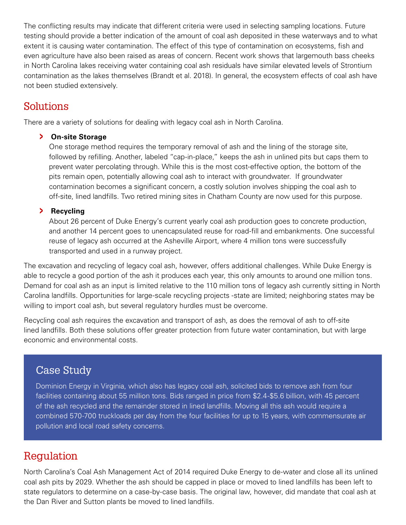The conflicting results may indicate that different criteria were used in selecting sampling locations. Future testing should provide a better indication of the amount of coal ash deposited in these waterways and to what extent it is causing water contamination. The effect of this type of contamination on ecosystems, fish and even agriculture have also been raised as areas of concern. Recent work shows that largemouth bass cheeks in North Carolina lakes receiving water containing coal ash residuals have similar elevated levels of Strontium contamination as the lakes themselves (Brandt et al. 2018). In general, the ecosystem effects of coal ash have not been studied extensively.

#### Solutions

There are a variety of solutions for dealing with legacy coal ash in North Carolina.

#### **> On-site Storage**

One storage method requires the temporary removal of ash and the lining of the storage site, followed by refilling. Another, labeled "cap-in-place," keeps the ash in unlined pits but caps them to prevent water percolating through. While this is the most cost-effective option, the bottom of the pits remain open, potentially allowing coal ash to interact with groundwater. If groundwater contamination becomes a significant concern, a costly solution involves shipping the coal ash to off-site, lined landfills. Two retired mining sites in Chatham County are now used for this purpose.

#### **> Recycling**

 About 26 percent of Duke Energy's current yearly coal ash production goes to concrete production, and another 14 percent goes to unencapsulated reuse for road-fill and embankments. One successful reuse of legacy ash occurred at the Asheville Airport, where 4 million tons were successfully transported and used in a runway project.

The excavation and recycling of legacy coal ash, however, offers additional challenges. While Duke Energy is able to recycle a good portion of the ash it produces each year, this only amounts to around one million tons. Demand for coal ash as an input is limited relative to the 110 million tons of legacy ash currently sitting in North Carolina landfills. Opportunities for large-scale recycling projects -state are limited; neighboring states may be willing to import coal ash, but several regulatory hurdles must be overcome.

Recycling coal ash requires the excavation and transport of ash, as does the removal of ash to off-site lined landfills. Both these solutions offer greater protection from future water contamination, but with large economic and environmental costs.

## Case Study

Dominion Energy in Virginia, which also has legacy coal ash, solicited bids to remove ash from four facilities containing about 55 million tons. Bids ranged in price from \$2.4-\$5.6 billion, with 45 percent of the ash recycled and the remainder stored in lined landfills. Moving all this ash would require a combined 570-700 truckloads per day from the four facilities for up to 15 years, with commensurate air pollution and local road safety concerns.

## Regulation

North Carolina's Coal Ash Management Act of 2014 required Duke Energy to de-water and close all its unlined coal ash pits by 2029. Whether the ash should be capped in place or moved to lined landfills has been left to state regulators to determine on a case-by-case basis. The original law, however, did mandate that coal ash at the Dan River and Sutton plants be moved to lined landfills.